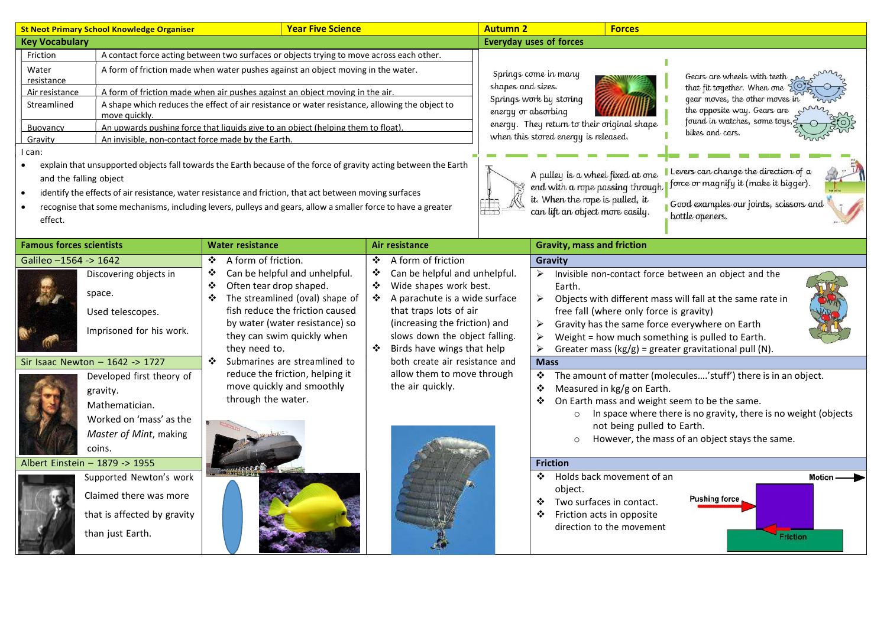|                                                                                                                                        | <b>St Neot Primary School Knowledge Organiser</b>                                                                                                                                                                                                       | <b>Year Five Science</b>                                                                                                                                                                                                                                                                                                                                                                                                                                                                                                                                                                                                                                                                                                                                                                          |                                                                                                                                                                                                                                                                                                                                                  | <b>Autumn 2</b>                          |                                                                                                                                                                                                                                                  | <b>Forces</b>                                                                                                     |                                                                                                                                                                                                                                                                                                                                                                                                                                                                                                                                                        |                           |
|----------------------------------------------------------------------------------------------------------------------------------------|---------------------------------------------------------------------------------------------------------------------------------------------------------------------------------------------------------------------------------------------------------|---------------------------------------------------------------------------------------------------------------------------------------------------------------------------------------------------------------------------------------------------------------------------------------------------------------------------------------------------------------------------------------------------------------------------------------------------------------------------------------------------------------------------------------------------------------------------------------------------------------------------------------------------------------------------------------------------------------------------------------------------------------------------------------------------|--------------------------------------------------------------------------------------------------------------------------------------------------------------------------------------------------------------------------------------------------------------------------------------------------------------------------------------------------|------------------------------------------|--------------------------------------------------------------------------------------------------------------------------------------------------------------------------------------------------------------------------------------------------|-------------------------------------------------------------------------------------------------------------------|--------------------------------------------------------------------------------------------------------------------------------------------------------------------------------------------------------------------------------------------------------------------------------------------------------------------------------------------------------------------------------------------------------------------------------------------------------------------------------------------------------------------------------------------------------|---------------------------|
| <b>Key Vocabulary</b>                                                                                                                  |                                                                                                                                                                                                                                                         |                                                                                                                                                                                                                                                                                                                                                                                                                                                                                                                                                                                                                                                                                                                                                                                                   |                                                                                                                                                                                                                                                                                                                                                  |                                          | <b>Everyday uses of forces</b>                                                                                                                                                                                                                   |                                                                                                                   |                                                                                                                                                                                                                                                                                                                                                                                                                                                                                                                                                        |                           |
| Friction<br>Water<br>resistance<br>Air resistance<br>Streamlined<br>Buoyancy<br>Gravity<br>I can:<br>and the falling object<br>effect. | move quickly<br>An invisible, non-contact force made by the Earth.                                                                                                                                                                                      | A contact force acting between two surfaces or objects trying to move across each other.<br>A form of friction made when water pushes against an object moving in the water.<br>A form of friction made when air pushes against an object moving in the air.<br>A shape which reduces the effect of air resistance or water resistance, allowing the object to<br>An upwards pushing force that liquids give to an object (helping them to float).<br>explain that unsupported objects fall towards the Earth because of the force of gravity acting between the Earth<br>identify the effects of air resistance, water resistance and friction, that act between moving surfaces<br>recognise that some mechanisms, including levers, pulleys and gears, allow a smaller force to have a greater |                                                                                                                                                                                                                                                                                                                                                  | shapes and sizes.<br>energy or absorbing | Springs come in many<br>Springs work by storing<br>energy. They return to their original shape<br>when this stored energy is released.<br>A pulley is a wheel fixed at one<br>it. When the rope is pulled, it<br>can lift an object more easily. | end with a rope passing through                                                                                   | Gears are wheels with teeth.<br>that fit together. When one $\leq$<br>gear moves, the other moves in<br>the opposite way. Gears are<br>found in watches, some toys<br>bikes and cars.<br>Levers can change the direction of a<br>force or magnify it (make it bigger).<br>Good examples our joints, scissors and<br>bottle openers.                                                                                                                                                                                                                    |                           |
| <b>Famous forces scientists</b>                                                                                                        |                                                                                                                                                                                                                                                         | <b>Water resistance</b>                                                                                                                                                                                                                                                                                                                                                                                                                                                                                                                                                                                                                                                                                                                                                                           | Air resistance                                                                                                                                                                                                                                                                                                                                   |                                          | <b>Gravity, mass and friction</b>                                                                                                                                                                                                                |                                                                                                                   |                                                                                                                                                                                                                                                                                                                                                                                                                                                                                                                                                        |                           |
| Galileo -1564 -> 1642                                                                                                                  | Discovering objects in<br>space.<br>Used telescopes.<br>Imprisoned for his work.<br>Sir Isaac Newton $-1642 \rightarrow 1727$<br>Developed first theory of<br>gravity.<br>Mathematician.<br>Worked on 'mass' as the<br>Master of Mint, making<br>coins. | A form of friction.<br>❖<br>Can be helpful and unhelpful.<br>❖<br>Often tear drop shaped.<br>❖<br>The streamlined (oval) shape of<br>fish reduce the friction caused<br>by water (water resistance) so<br>they can swim quickly when<br>they need to.<br>$\mathbf{A}$<br>Submarines are streamlined to<br>reduce the friction, helping it<br>move quickly and smoothly<br>through the water.                                                                                                                                                                                                                                                                                                                                                                                                      | ❖ A form of friction<br>Can be helpful and unhelpful.<br>❖<br>❖<br>Wide shapes work best.<br>❖ A parachute is a wide surface<br>that traps lots of air<br>(increasing the friction) and<br>slows down the object falling.<br>Birds have wings that help<br>❖<br>both create air resistance and<br>allow them to move through<br>the air quickly. |                                          | Gravity<br>Earth.<br>➤<br>⋗<br>$\blacktriangleright$<br><b>Mass</b><br>❖<br>❖<br>$\circ$<br>$\circ$                                                                                                                                              | free fall (where only force is gravity)<br>Measured in kg/g on Earth.<br>not being pulled to Earth.               | $\triangleright$ Invisible non-contact force between an object and the<br>Objects with different mass will fall at the same rate in<br>Gravity has the same force everywhere on Earth<br>Weight = how much something is pulled to Earth.<br>Greater mass ( $\text{kg/g}$ ) = greater gravitational pull (N).<br>❖ The amount of matter (molecules'stuff') there is in an object.<br>On Earth mass and weight seem to be the same.<br>In space where there is no gravity, there is no weight (objects<br>However, the mass of an object stays the same. |                           |
| Albert Einstein - 1879 -> 1955                                                                                                         | Supported Newton's work<br>Claimed there was more<br>that is affected by gravity<br>than just Earth.                                                                                                                                                    |                                                                                                                                                                                                                                                                                                                                                                                                                                                                                                                                                                                                                                                                                                                                                                                                   |                                                                                                                                                                                                                                                                                                                                                  |                                          | <b>Friction</b><br>object.<br>❖<br>❖                                                                                                                                                                                                             | ❖ Holds back movement of an<br>Two surfaces in contact.<br>Friction acts in opposite<br>direction to the movement | Pushing force                                                                                                                                                                                                                                                                                                                                                                                                                                                                                                                                          | Motion<br><b>Friction</b> |